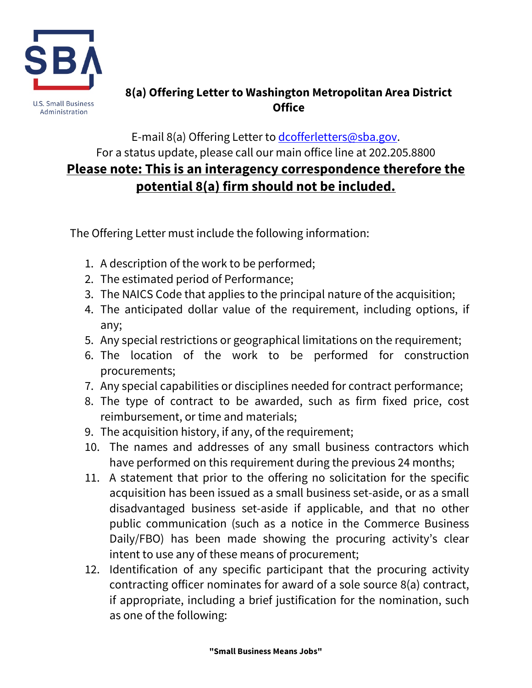

## **8(a) Offering Letter to Washington Metropolitan Area District Office**

## E-mail 8(a) Offering Letter to [dcofferletters@sba.gov.](mailto:dcofferletters@sba.gov) For a status update, please call our main office line at 202.205.8800 **Please note: This is an interagency correspondence therefore the potential 8(a) firm should not be included.**

The Offering Letter must include the following information:

- 1. A description of the work to be performed;
- 2. The estimated period of Performance;
- 3. The NAICS Code that applies to the principal nature of the acquisition;
- 4. The anticipated dollar value of the requirement, including options, if any;
- 5. Any special restrictions or geographical limitations on the requirement;
- 6. The location of the work to be performed for construction procurements;
- 7. Any special capabilities or disciplines needed for contract performance;
- 8. The type of contract to be awarded, such as firm fixed price, cost reimbursement, or time and materials;
- 9. The acquisition history, if any, of the requirement;
- 10. The names and addresses of any small business contractors which have performed on this requirement during the previous 24 months;
- 11. A statement that prior to the offering no solicitation for the specific acquisition has been issued as a small business set-aside, or as a small disadvantaged business set-aside if applicable, and that no other public communication (such as a notice in the Commerce Business Daily/FBO) has been made showing the procuring activity's clear intent to use any of these means of procurement;
- 12. Identification of any specific participant that the procuring activity contracting officer nominates for award of a sole source 8(a) contract, if appropriate, including a brief justification for the nomination, such as one of the following: